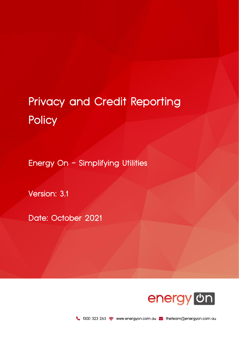## Privacy and Credit Reporting **Policy**

Energy On - Simplifying Utilities

Version: 3.1

Date: October 2021

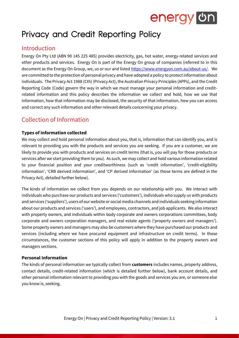

## Privacy and Credit Reporting Policy

### Introduction

Energy On Pty Ltd (ABN 90 145 225 485) provides electricity, gas, hot water, energy-related services and other products and services. Energy On is part of the Energy On group of companies (referred to in this document as the Energy On Group, we, us or our and listed [https://www.energyon.com.au/about-us/.](https://www.energyon.com.au/about-us/) We are committed to the protection of personal privacy and have adopted a policy to protect information about individuals. The Privacy Act 1988 (Cth) (Privacy Act), the Australian Privacy Principles (APPs), and the Credit Reporting Code (Code) govern the way in which we must manage your personal information and creditrelated information and this policy describes the information we collect and hold, how we use that information, how that information may be disclosed, the security of that information, how you can access and correct any such information and other relevant details concerning your privacy.

### Collection of Information

#### **Types of information collected**

We may collect and hold personal information about you, that is, information that can identify you, and is relevant to providing you with the products and services you are seeking. If you are a customer, we are likely to provide you with products and services on credit terms (that is, you will pay for those products or services after we start providing them to you). As such, we may collect and hold various information related to your financial position and your creditworthiness (such as 'credit information', 'credit-eligibility information', 'CRB derived information', and 'CP derived information' (as those terms are defined in the Privacy Act), detailed further below).

The kinds of information we collect from you depends on our relationship with you. We interact with individuals who purchase our products and services ('customers'), individuals who supply us with products and services ('suppliers'), users of our website or social media channels and individuals seeking information about our products and services ('users'), and employees, contractors, and job applicants. We also interact with property owners, and individuals within body corporate and owners corporations committees, body corporate and owners corporation managers, and real estate agents ('property owners and managers'). Some property owners and managers may also be customers where they have purchased our products and services (including where we have procured equipment and infrastructure on credit terms). In those circumstances, the customer sections of this policy will apply in addition to the property owners and managers sections.

#### **Personal Information**

The kinds of personal information we typically collect from **customers** includes names, property address, contact details, credit-related information (which is detailed further below), bank account details, and other personal information relevant to providing you with the goods and services you are, or someone else you know is, seeking.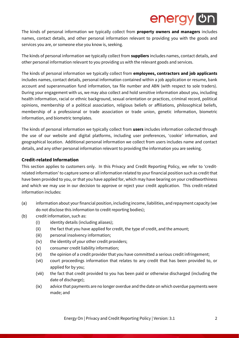The kinds of personal information we typically collect from **property owners and managers** includes names, contact details, and other personal information relevant to providing you with the goods and services you are, or someone else you know is, seeking.

The kinds of personal information we typically collect from **suppliers** includes names, contact details, and other personal information relevant to you providing us with the relevant goods and services.

The kinds of personal information we typically collect from **employees, contractors and job applicants** includes names, contact details, personal information contained within a job application or resume, bank account and superannuation fund information, tax file number and ABN (with respect to sole traders). During your engagement with us, we may also collect and hold sensitive information about you, including health information, racial or ethnic background, sexual orientation or practices, criminal record, political opinions, membership of a political association, religious beliefs or affiliations, philosophical beliefs, membership of a professional or trade association or trade union, genetic information, biometric information, and biometric templates.

The kinds of personal information we typically collect from **users** includes information collected through the use of our website and digital platforms, including user preferences, 'cookie' information, and geographical location. Additional personal information we collect from users includes name and contact details, and any other personal information relevant to providing the information you are seeking.

#### **Credit-related Information**

This section applies to customers only. In this Privacy and Credit Reporting Policy, we refer to 'creditrelated information' to capture some or all information related to your financial position such as credit that have been provided to you, or that you have applied for, which may have bearing on your creditworthiness and which we may use in our decision to approve or reject your credit application. This credit-related information includes:

- (a) information about your financial position, including income, liabilities, and repayment capacity (we do not disclose this information to credit reporting bodies);
- (b) credit information, such as:
	- (i) identity details (including aliases);
	- (ii) the fact that you have applied for credit, the type of credit, and the amount;
	- (iii) personal insolvency information;
	- (iv) the identity of your other credit providers;
	- (v) consumer credit liability information;
	- (vi) the opinion of a credit provider that you have committed a serious credit infringement;
	- (vii) court proceedings information that relates to any credit that has been provided to, or applied for by you;
	- (viii) the fact that credit provided to you has been paid or otherwise discharged (including the date of discharge);
	- (ix) advice that payments are no longer overdue and the date on which overdue payments were made; and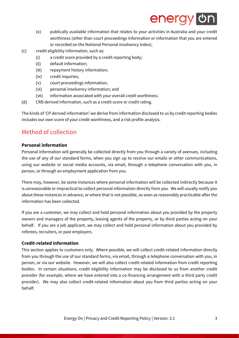- (x) publically available information that relates to your activities in Australia and your credit worthiness (other than court proceedings information or information that you are entered or recorded on the National Personal Insolvency Index);
- (c) credit eligibility information, such as:
	- (i) a credit score provided by a credit reporting body;
	- (ii) default information;
	- (iii) repayment history information;
	- (iv) credit inquiries;
	- (v) court proceedings information;
	- (vi) personal insolvency information; and
	- (vii) information associated with your overall credit worthiness.
- (d) CRB derived information, such as a credit score or credit rating.

The kinds of 'CP derived information' we derive from information disclosed to us by credit reporting bodies includes our own score of your credit worthiness, and a risk profile analysis.

### Method of collection

#### **Personal information**

Personal information will generally be collected directly from you through a variety of avenues, including the use of any of our standard forms, when you sign up to receive our emails or other communications, using our website or social media accounts, via email, through a telephone conversation with you, in person, or through an employment application from you.

There may, however, be some instances where personal information will be collected indirectly because it is unreasonable or impractical to collect personal information directly from you. We will usually notify you about these instances in advance, or where that is not possible, as soon as reasonably practicable after the information has been collected.

If you are a customer, we may collect and hold personal information about you provided by the property owners and managers of the property, leasing agents of the property, or by third parties acting on your behalf. If you are a job applicant, we may collect and hold personal information about you provided by referees, recruiters, or past employers.

#### **Credit-related information**

This section applies to customers only. Where possible, we will collect credit-related information directly from you through the use of our standard forms, via email, through a telephone conversation with you, in person, or via our website. However, we will also collect credit-related information from credit reporting bodies. In certain situations, credit eligibility information may be disclosed to us from another credit provider (for example, where we have entered into a co-financing arrangement with a third party credit provider). We may also collect credit-related information about you from third parties acting on your behalf.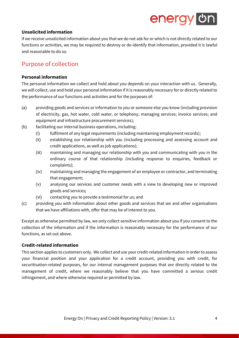#### **Unsolicited information**

If we receive unsolicited information about you that we do not ask for or which is not directly related to our functions or activities, we may be required to destroy or de-identify that information, provided it is lawful and reasonable to do so.

### Purpose of collection

#### **Personal information**

The personal information we collect and hold about you depends on your interaction with us. Generally, we will collect, use and hold your personal information if it is reasonably necessary for or directly related to the performance of our functions and activities and for the purposes of:

- (a) providing goods and services or information to you or someone else you know (including provision of electricity, gas, hot water, cold water, or telephony; managing services; invoice services; and equipment and infrastructure procurement services);
- (b) facilitating our internal business operations, including:
	- (i) fulfilment of any legal requirements (including maintaining employment records);
	- (ii) establishing our relationship with you (including processing and assessing account and credit applications, as well as job applications);
	- (iii) maintaining and managing our relationship with you and communicating with you in the ordinary course of that relationship (including response to enquiries, feedback or complaints);
	- (iv) maintaining and managing the engagement of an employee or contractor, and terminating that engagement;
	- (v) analysing our services and customer needs with a view to developing new or improved goods and services;
	- (vi) contacting you to provide a testimonial for us; and
- (c) providing you with information about other goods and services that we and other organisations that we have affiliations with, offer that may be of interest to you.

Except as otherwise permitted by law, we only collect sensitive information about you if you consent to the collection of the information and if the information is reasonably necessary for the performance of our functions, as set out above.

#### **Credit-related information**

This section applies to customers only. We collect and use your credit-related information in order to assess your financial position and your application for a credit account, providing you with credit, for securitisation-related purposes, for our internal management purposes that are directly related to the management of credit, where we reasonably believe that you have committed a serious credit infringement, and where otherwise required or permitted by law.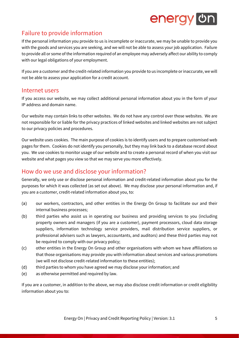### Failure to provide information

If the personal information you provide to us is incomplete or inaccurate, we may be unable to provide you with the goods and services you are seeking, and we will not be able to assess your job application. Failure to provide all or some of the information required of an employee may adversely affect our ability to comply with our legal obligations of your employment.

If you are a customer and the credit-related information you provide to us incomplete or inaccurate, we will not be able to assess your application for a credit account.

#### Internet users

If you access our website, we may collect additional personal information about you in the form of your IP address and domain name.

Our website may contain links to other websites. We do not have any control over those websites. We are not responsible for or liable for the privacy practices of linked websites and linked websites are not subject to our privacy policies and procedures.

Our website uses cookies. The main purpose of cookies is to identify users and to prepare customised web pages for them. Cookies do not identify you personally, but they may link back to a database record about you. We use cookies to monitor usage of our website and to create a personal record of when you visit our website and what pages you view so that we may serve you more effectively.

### How do we use and disclose your information?

Generally, we only use or disclose personal information and credit-related information about you for the purposes for which it was collected (as set out above). We may disclose your personal information and, if you are a customer, credit-related information about you, to:

- (a) our workers, contractors, and other entities in the Energy On Group to facilitate our and their internal business processes;
- (b) third parties who assist us in operating our business and providing services to you (including property owners and managers (if you are a customer), payment processors, cloud data storage suppliers, information technology service providers, mail distribution service suppliers, or professional advisers such as lawyers, accountants, and auditors) and these third parties may not be required to comply with our privacy policy;
- (c) other entities in the Energy On Group and other organisations with whom we have affiliations so that those organisations may provide you with information about services and various promotions (we will not disclose credit-related information to these entities);
- (d) third parties to whom you have agreed we may disclose your information; and
- (e) as otherwise permitted and required by law.

If you are a customer, in addition to the above, we may also disclose credit information or credit eligibility information about you to: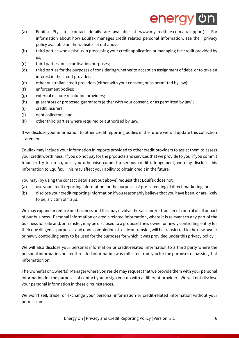## energy or

- (a) Equifax Pty Ltd (contact details are available at www.mycreditfile.com.au/support). For information about how Equifax manages credit related personal information, see their privacy policy available on the website set out above;
- (b) third parties who assist us in processing your credit application or managing the credit provided by us;
- (c) third parties for securitisation purposes;
- (d) third parties for the purposes of considering whether to accept an assignment of debt, or to take an interest in the credit provider;
- (e) other Australian credit providers (either with your consent, or as permitted by law);
- (f) enforcement bodies;
- (g) external dispute resolution providers;
- (h) guarantors or proposed guarantors (either with your consent, or as permitted by law);
- (i) credit insurers;
- (j) debt collectors; and
- (k) other third parties where required or authorised by law.

If we disclose your information to other credit reporting bodies in the future we will update this collection statement.

Equifax may include your information in reports provided to other credit providers to assist them to assess your credit worthiness. If you do not pay for the products and services that we provide to you, if you commit fraud or try to do so, or if you otherwise commit a serious credit infringement, we may disclose this information to Equifax. This may affect your ability to obtain credit in the future.

You may (by using the contact details set out above) request that Equifax does not:

- (a) use your credit reporting information for the purposes of pre-screening of direct marketing; or
- (b) disclose your credit reporting information if you reasonably believe that you have been, or are likely to be, a victim of fraud.

We may expand or reduce our business and this may involve the sale and/or transfer of control of all or part of our business. Personal information or credit-related information, where it is relevant to any part of the business for sale and/or transfer, may be disclosed to a proposed new owner or newly controlling entity for their due diligence purposes, and upon completion of a sale or transfer, will be transferred to the new owner or newly controlling party to be used for the purposes for which it was provided under this privacy policy.

We will also disclose your personal information or credit-related information to a third party where the personal information or credit-related information was collected from you for the purposes of passing that information on.

The Owner(s) or Owner(s)' Manager where you reside may request that we provide them with your personal information for the purposes of contact you to sign you up with a different provider. We will not disclose your personal information in these circumstances.

We won't sell, trade, or exchange your personal information or credit-related information without your permission.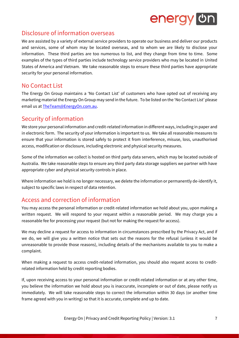### Disclosure of information overseas

We are assisted by a variety of external service providers to operate our business and deliver our products and services, some of whom may be located overseas, and to whom we are likely to disclose your information. These third parties are too numerous to list, and they change from time to time. Some examples of the types of third parties include technology service providers who may be located in United States of America and Vietnam. We take reasonable steps to ensure these third parties have appropriate security for your personal information.

### No Contact List

The Energy On Group maintains a 'No Contact List' of customers who have opted out of receiving any marketing material the Energy On Group may send in the future. To be listed on the 'No Contact List' please email us a[t TheTeam@EnergyOn.com.au.](file://///synology/EON%20-%20Share/4.%20Customer%20Service/1.%20Policies/Privacy%20and%20Credit%20Reporting%20Policy/TheTeam@EnergyOn.com.au)

### Security of information

We store your personal information and credit-related information in different ways, including in paper and in electronic form. The security of your information is important to us. We take all reasonable measures to ensure that your information is stored safely to protect it from interference, misuse, loss, unauthorised access, modification or disclosure, including electronic and physical security measures.

Some of the information we collect is hosted on third party data servers, which may be located outside of Australia. We take reasonable steps to ensure any third party data storage suppliers we partner with have appropriate cyber and physical security controls in place.

Where information we hold is no longer necessary, we delete the information or permanently de-identify it, subject to specific laws in respect of data retention.

### Access and correction of information

You may access the personal information or credit-related information we hold about you, upon making a written request. We will respond to your request within a reasonable period. We may charge you a reasonable fee for processing your request (but not for making the request for access).

We may decline a request for access to information in circumstances prescribed by the Privacy Act, and if we do, we will give you a written notice that sets out the reasons for the refusal (unless it would be unreasonable to provide those reasons), including details of the mechanisms available to you to make a complaint.

When making a request to access credit-related information, you should also request access to creditrelated information held by credit reporting bodies.

If, upon receiving access to your personal information or credit-related information or at any other time, you believe the information we hold about you is inaccurate, incomplete or out of date, please notify us immediately. We will take reasonable steps to correct the information within 30 days (or another time frame agreed with you in writing) so that it is accurate, complete and up to date.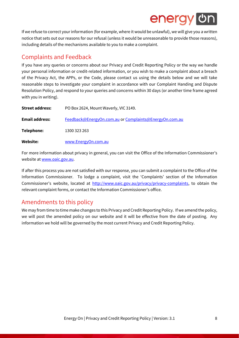If we refuse to correct your information (for example, where it would be unlawful), we will give you a written notice that sets out our reasons for our refusal (unless it would be unreasonable to provide those reasons), including details of the mechanisms available to you to make a complaint.

### Complaints and Feedback

If you have any queries or concerns about our Privacy and Credit Reporting Policy or the way we handle your personal information or credit-related information, or you wish to make a complaint about a breach of the Privacy Act, the APPs, or the Code, please contact us using the details below and we will take reasonable steps to investigate your complaint in accordance with our Complaint Handing and Dispute Resolution Policy, and respond to your queries and concerns within 30 days (or another time frame agreed with you in writing).

| <b>Street address:</b> | PO Box 2624, Mount Waverly, VIC 3149.                  |  |  |
|------------------------|--------------------------------------------------------|--|--|
| <b>Email address:</b>  | Feedback@EnergyOn.com.au or Complaints@EnergyOn.com.au |  |  |
| Telephone:             | 1300 323 263                                           |  |  |
| Website:               | www.EnergyOn.com.au                                    |  |  |

For more information about privacy in general, you can visit the Office of the Information Commissioner's website a[t www.oaic.gov.au.](http://www.oaic.gov.au/)

If after this process you are not satisfied with our response, you can submit a complaint to the Office of the Information Commissioner. To lodge a complaint, visit the 'Complaints' section of the Information Commissioner's website, located at [http://www.oaic.gov.au/privacy/privacy-complaints,](http://www.oaic.gov.au/privacy/privacy-complaints) to obtain the relevant complaint forms, or contact the Information Commissioner's office.

### Amendments to this policy

We may from time to time make changes to this Privacy and Credit Reporting Policy. If we amend the policy, we will post the amended policy on our website and it will be effective from the date of posting. Any information we hold will be governed by the most current Privacy and Credit Reporting Policy.